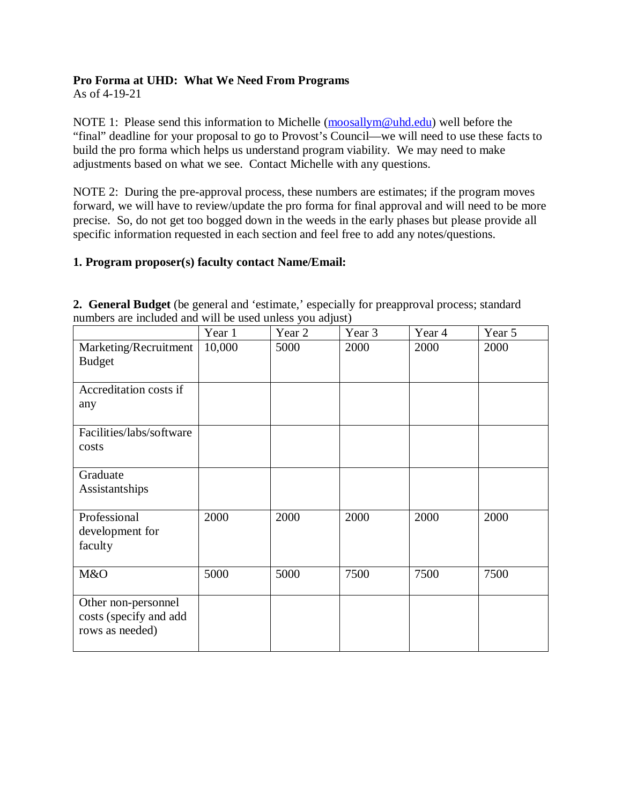### **Pro Forma at UHD: What We Need From Programs**

As of 4-19-21

NOTE 1: Please send this information to Michelle [\(moosallym@uhd.edu\)](mailto:moosallym@uhd.edu) well before the "final" deadline for your proposal to go to Provost's Council—we will need to use these facts to build the pro forma which helps us understand program viability. We may need to make adjustments based on what we see. Contact Michelle with any questions.

NOTE 2: During the pre-approval process, these numbers are estimates; if the program moves forward, we will have to review/update the pro forma for final approval and will need to be more precise. So, do not get too bogged down in the weeds in the early phases but please provide all specific information requested in each section and feel free to add any notes/questions.

### **1. Program proposer(s) faculty contact Name/Email:**

|                                                                  | Year 1 | ◡<br>Year 2 | Year 3 | Year 4 | Year 5 |
|------------------------------------------------------------------|--------|-------------|--------|--------|--------|
| Marketing/Recruitment<br><b>Budget</b>                           | 10,000 | 5000        | 2000   | 2000   | 2000   |
| Accreditation costs if<br>any                                    |        |             |        |        |        |
| Facilities/labs/software<br>costs                                |        |             |        |        |        |
| Graduate<br>Assistantships                                       |        |             |        |        |        |
| Professional<br>development for<br>faculty                       | 2000   | 2000        | 2000   | 2000   | 2000   |
| M&O                                                              | 5000   | 5000        | 7500   | 7500   | 7500   |
| Other non-personnel<br>costs (specify and add<br>rows as needed) |        |             |        |        |        |

**2. General Budget** (be general and 'estimate,' especially for preapproval process; standard numbers are included and will be used unless you adjust)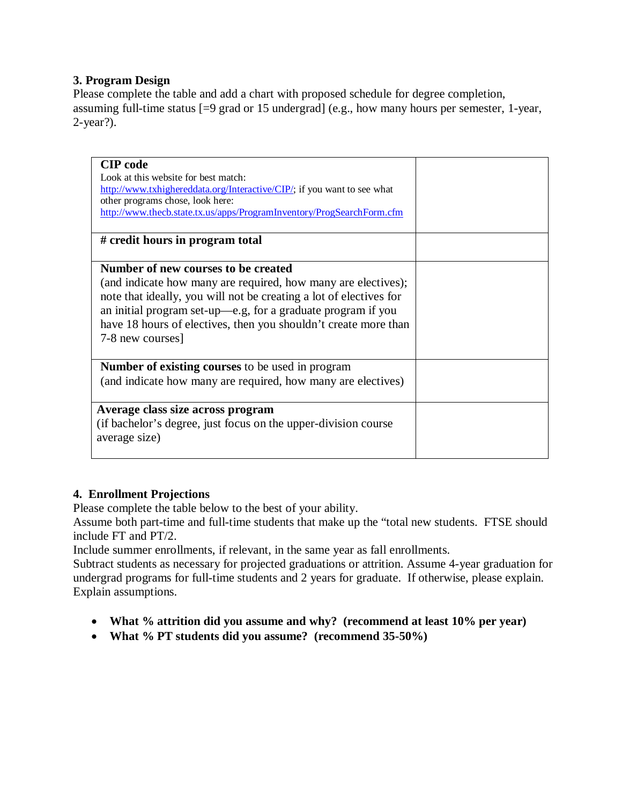### **3. Program Design**

Please complete the table and add a chart with proposed schedule for degree completion, assuming full-time status [=9 grad or 15 undergrad] (e.g., how many hours per semester, 1-year, 2-year?).

| <b>CIP</b> code<br>Look at this website for best match:<br>http://www.txhighereddata.org/Interactive/CIP/; if you want to see what<br>other programs chose, look here:<br>http://www.thecb.state.tx.us/apps/ProgramInventory/ProgSearchForm.cfm                                                                                   |  |
|-----------------------------------------------------------------------------------------------------------------------------------------------------------------------------------------------------------------------------------------------------------------------------------------------------------------------------------|--|
| # credit hours in program total                                                                                                                                                                                                                                                                                                   |  |
| Number of new courses to be created<br>(and indicate how many are required, how many are electives);<br>note that ideally, you will not be creating a lot of electives for<br>an initial program set-up—e.g, for a graduate program if you<br>have 18 hours of electives, then you shouldn't create more than<br>7-8 new courses] |  |
| <b>Number of existing courses</b> to be used in program<br>(and indicate how many are required, how many are electives)                                                                                                                                                                                                           |  |
| Average class size across program<br>(if bachelor's degree, just focus on the upper-division course<br>average size)                                                                                                                                                                                                              |  |

# **4. Enrollment Projections**

Please complete the table below to the best of your ability.

Assume both part-time and full-time students that make up the "total new students. FTSE should include FT and PT/2.

Include summer enrollments, if relevant, in the same year as fall enrollments.

Subtract students as necessary for projected graduations or attrition. Assume 4-year graduation for undergrad programs for full-time students and 2 years for graduate. If otherwise, please explain. Explain assumptions.

- **What % attrition did you assume and why? (recommend at least 10% per year)**
- **What % PT students did you assume? (recommend 35-50%)**